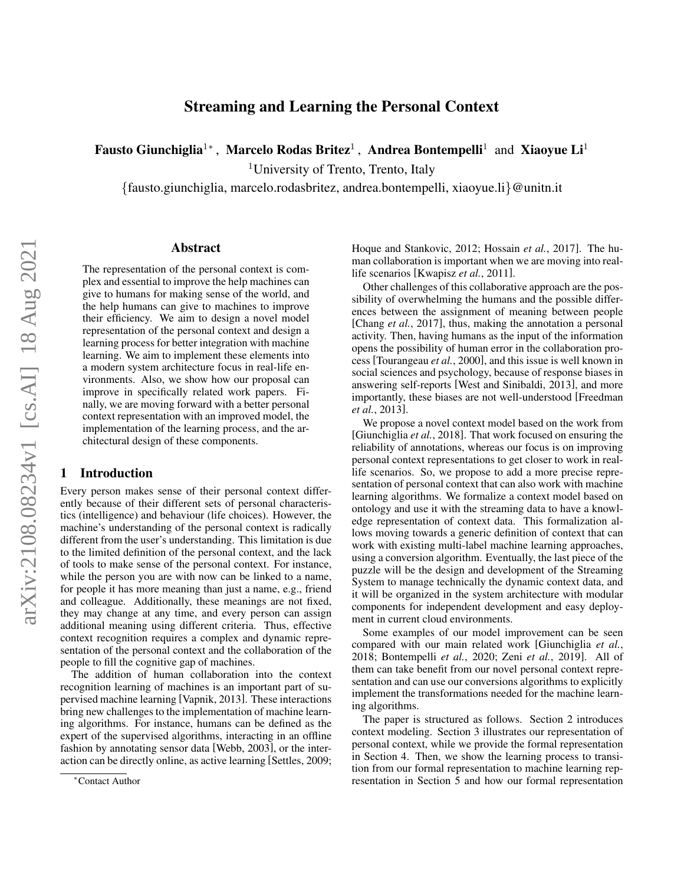# Streaming and Learning the Personal Context

Fausto Giunchiglia<sup>1</sup>\*, Marcelo Rodas Britez<sup>1</sup>, Andrea Bontempelli<sup>1</sup> and Xiaoyue Li<sup>1</sup>

<sup>1</sup>University of Trento, Trento, Italy

{fausto.giunchiglia, marcelo.rodasbritez, andrea.bontempelli, xiaoyue.li}@unitn.it

#### Abstract

The representation of the personal context is complex and essential to improve the help machines can give to humans for making sense of the world, and the help humans can give to machines to improve their efficiency. We aim to design a novel model representation of the personal context and design a learning process for better integration with machine learning. We aim to implement these elements into a modern system architecture focus in real-life environments. Also, we show how our proposal can improve in specifically related work papers. Finally, we are moving forward with a better personal context representation with an improved model, the implementation of the learning process, and the architectural design of these components.

#### 1 Introduction

Every person makes sense of their personal context differently because of their different sets of personal characteristics (intelligence) and behaviour (life choices). However, the machine's understanding of the personal context is radically different from the user's understanding. This limitation is due to the limited definition of the personal context, and the lack of tools to make sense of the personal context. For instance, while the person you are with now can be linked to a name, for people it has more meaning than just a name, e.g., friend and colleague. Additionally, these meanings are not fixed, they may change at any time, and every person can assign additional meaning using different criteria. Thus, effective context recognition requires a complex and dynamic representation of the personal context and the collaboration of the people to fill the cognitive gap of machines.

The addition of human collaboration into the context recognition learning of machines is an important part of supervised machine learning [\[Vapnik, 2013\]](#page-8-0). These interactions bring new challenges to the implementation of machine learning algorithms. For instance, humans can be defined as the expert of the supervised algorithms, interacting in an offline fashion by annotating sensor data [\[Webb, 2003\]](#page-8-1), or the interaction can be directly online, as active learning [\[Settles, 2009;](#page-8-2) [Hoque and Stankovic, 2012;](#page-8-3) [Hossain](#page-8-4) *et al.*, 2017]. The human collaboration is important when we are moving into reallife scenarios [\[Kwapisz](#page-8-5) *et al.*, 2011].

Other challenges of this collaborative approach are the possibility of overwhelming the humans and the possible differences between the assignment of meaning between people [\[Chang](#page-8-6) *et al.*, 2017], thus, making the annotation a personal activity. Then, having humans as the input of the information opens the possibility of human error in the collaboration process [\[Tourangeau](#page-8-7) *et al.*, 2000], and this issue is well known in social sciences and psychology, because of response biases in answering self-reports [\[West and Sinibaldi, 2013\]](#page-8-8), and more importantly, these biases are not well-understood [\[Freedman](#page-8-9) *et al.*[, 2013\]](#page-8-9).

We propose a novel context model based on the work from [\[Giunchiglia](#page-8-10) *et al.*, 2018]. That work focused on ensuring the reliability of annotations, whereas our focus is on improving personal context representations to get closer to work in reallife scenarios. So, we propose to add a more precise representation of personal context that can also work with machine learning algorithms. We formalize a context model based on ontology and use it with the streaming data to have a knowledge representation of context data. This formalization allows moving towards a generic definition of context that can work with existing multi-label machine learning approaches, using a conversion algorithm. Eventually, the last piece of the puzzle will be the design and development of the Streaming System to manage technically the dynamic context data, and it will be organized in the system architecture with modular components for independent development and easy deployment in current cloud environments.

Some examples of our model improvement can be seen compared with our main related work [\[Giunchiglia](#page-8-10) *et al.*, [2018;](#page-8-10) [Bontempelli](#page-7-0) *et al.*, 2020; Zeni *et al.*[, 2019\]](#page-8-11). All of them can take benefit from our novel personal context representation and can use our conversions algorithms to explicitly implement the transformations needed for the machine learning algorithms.

The paper is structured as follows. Section [2](#page-1-0) introduces context modeling. Section [3](#page-2-0) illustrates our representation of personal context, while we provide the formal representation in Section [4.](#page-3-0) Then, we show the learning process to transition from our formal representation to machine learning representation in Section [5](#page-3-1) and how our formal representation

<sup>∗</sup>Contact Author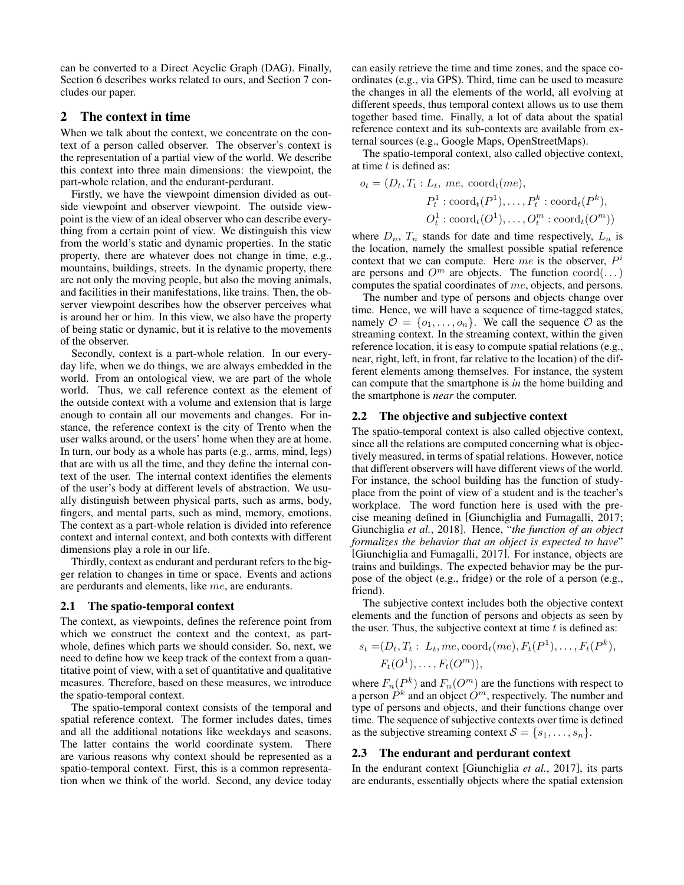can be converted to a Direct Acyclic Graph (DAG). Finally, Section [6](#page-6-0) describes works related to ours, and Section [7](#page-7-1) concludes our paper.

## <span id="page-1-0"></span>2 The context in time

When we talk about the context, we concentrate on the context of a person called observer. The observer's context is the representation of a partial view of the world. We describe this context into three main dimensions: the viewpoint, the part-whole relation, and the endurant-perdurant.

Firstly, we have the viewpoint dimension divided as outside viewpoint and observer viewpoint. The outside viewpoint is the view of an ideal observer who can describe everything from a certain point of view. We distinguish this view from the world's static and dynamic properties. In the static property, there are whatever does not change in time, e.g., mountains, buildings, streets. In the dynamic property, there are not only the moving people, but also the moving animals, and facilities in their manifestations, like trains. Then, the observer viewpoint describes how the observer perceives what is around her or him. In this view, we also have the property of being static or dynamic, but it is relative to the movements of the observer.

Secondly, context is a part-whole relation. In our everyday life, when we do things, we are always embedded in the world. From an ontological view, we are part of the whole world. Thus, we call reference context as the element of the outside context with a volume and extension that is large enough to contain all our movements and changes. For instance, the reference context is the city of Trento when the user walks around, or the users' home when they are at home. In turn, our body as a whole has parts (e.g., arms, mind, legs) that are with us all the time, and they define the internal context of the user. The internal context identifies the elements of the user's body at different levels of abstraction. We usually distinguish between physical parts, such as arms, body, fingers, and mental parts, such as mind, memory, emotions. The context as a part-whole relation is divided into reference context and internal context, and both contexts with different dimensions play a role in our life.

Thirdly, context as endurant and perdurant refers to the bigger relation to changes in time or space. Events and actions are perdurants and elements, like me, are endurants.

#### 2.1 The spatio-temporal context

The context, as viewpoints, defines the reference point from which we construct the context and the context, as partwhole, defines which parts we should consider. So, next, we need to define how we keep track of the context from a quantitative point of view, with a set of quantitative and qualitative measures. Therefore, based on these measures, we introduce the spatio-temporal context.

The spatio-temporal context consists of the temporal and spatial reference context. The former includes dates, times and all the additional notations like weekdays and seasons. The latter contains the world coordinate system. There are various reasons why context should be represented as a spatio-temporal context. First, this is a common representation when we think of the world. Second, any device today can easily retrieve the time and time zones, and the space coordinates (e.g., via GPS). Third, time can be used to measure the changes in all the elements of the world, all evolving at different speeds, thus temporal context allows us to use them together based time. Finally, a lot of data about the spatial reference context and its sub-contexts are available from external sources (e.g., Google Maps, OpenStreetMaps).

The spatio-temporal context, also called objective context, at time  $t$  is defined as:

$$
o_t = (D_t, T_t : L_t, me, \operatorname{coord}_t(me),
$$
  

$$
P_t^1 : \operatorname{coord}_t(P^1), \dots, P_t^k : \operatorname{coord}_t(P^k),
$$
  

$$
O_t^1 : \operatorname{coord}_t(O^1), \dots, O_t^m : \operatorname{coord}_t(O^m))
$$

where  $D_n$ ,  $T_n$  stands for date and time respectively,  $L_n$  is the location, namely the smallest possible spatial reference context that we can compute. Here  $me$  is the observer,  $P^i$ are persons and  $O^m$  are objects. The function  $coord(\dots)$ computes the spatial coordinates of me, objects, and persons.

The number and type of persons and objects change over time. Hence, we will have a sequence of time-tagged states, namely  $\mathcal{O} = \{o_1, \ldots, o_n\}$ . We call the sequence  $\mathcal{O}$  as the streaming context. In the streaming context, within the given reference location, it is easy to compute spatial relations (e.g., near, right, left, in front, far relative to the location) of the different elements among themselves. For instance, the system can compute that the smartphone is *in* the home building and the smartphone is *near* the computer.

#### 2.2 The objective and subjective context

The spatio-temporal context is also called objective context, since all the relations are computed concerning what is objectively measured, in terms of spatial relations. However, notice that different observers will have different views of the world. For instance, the school building has the function of studyplace from the point of view of a student and is the teacher's workplace. The word function here is used with the precise meaning defined in [\[Giunchiglia and Fumagalli, 2017;](#page-8-12) [Giunchiglia](#page-8-10) *et al.*, 2018]. Hence, "*the function of an object formalizes the behavior that an object is expected to have*" [\[Giunchiglia and Fumagalli, 2017\]](#page-8-12). For instance, objects are trains and buildings. The expected behavior may be the purpose of the object (e.g., fridge) or the role of a person (e.g., friend).

The subjective context includes both the objective context elements and the function of persons and objects as seen by the user. Thus, the subjective context at time  $t$  is defined as:

$$
s_t = (D_t, T_t : L_t, me, \text{coord}_t(me), F_t(P^1), \dots, F_t(P^k),
$$
  

$$
F_t(O^1), \dots, F_t(O^m)),
$$

where  $F_n(P^k)$  and  $F_n(O^m)$  are the functions with respect to a person  $P^k$  and an object  $O^m$ , respectively. The number and type of persons and objects, and their functions change over time. The sequence of subjective contexts over time is defined as the subjective streaming context  $S = \{s_1, \ldots, s_n\}.$ 

#### 2.3 The endurant and perdurant context

In the endurant context [\[Giunchiglia](#page-8-13) *et al.*, 2017], its parts are endurants, essentially objects where the spatial extension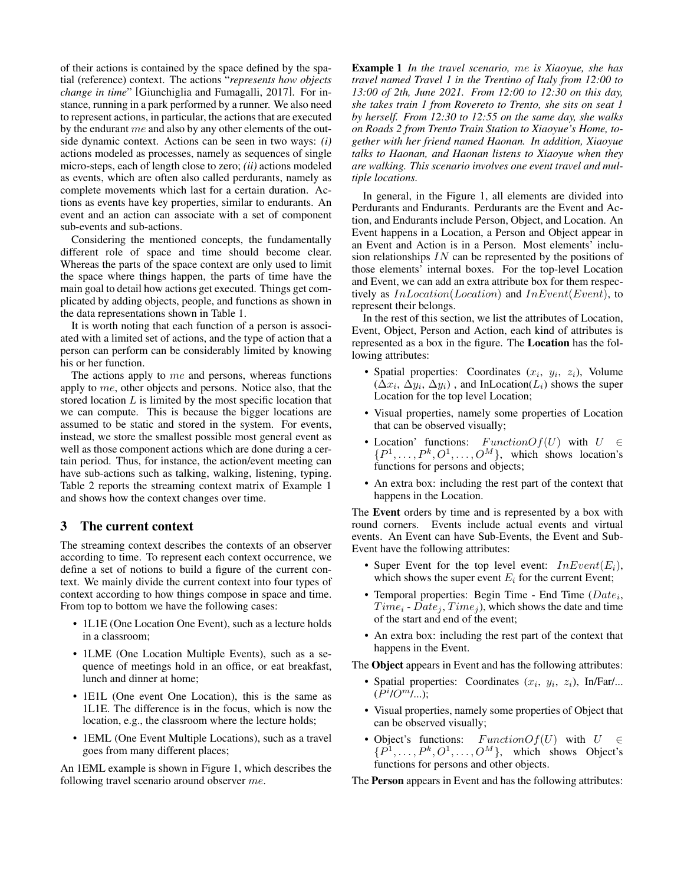of their actions is contained by the space defined by the spatial (reference) context. The actions "*represents how objects change in time*" [\[Giunchiglia and Fumagalli, 2017\]](#page-8-12). For instance, running in a park performed by a runner. We also need to represent actions, in particular, the actions that are executed by the endurant me and also by any other elements of the outside dynamic context. Actions can be seen in two ways: *(i)* actions modeled as processes, namely as sequences of single micro-steps, each of length close to zero; *(ii)* actions modeled as events, which are often also called perdurants, namely as complete movements which last for a certain duration. Actions as events have key properties, similar to endurants. An event and an action can associate with a set of component sub-events and sub-actions.

Considering the mentioned concepts, the fundamentally different role of space and time should become clear. Whereas the parts of the space context are only used to limit the space where things happen, the parts of time have the main goal to detail how actions get executed. Things get complicated by adding objects, people, and functions as shown in the data representations shown in Table [1.](#page-3-2)

It is worth noting that each function of a person is associated with a limited set of actions, and the type of action that a person can perform can be considerably limited by knowing his or her function.

The actions apply to me and persons, whereas functions apply to me, other objects and persons. Notice also, that the stored location  $L$  is limited by the most specific location that we can compute. This is because the bigger locations are assumed to be static and stored in the system. For events, instead, we store the smallest possible most general event as well as those component actions which are done during a certain period. Thus, for instance, the action/event meeting can have sub-actions such as talking, walking, listening, typing. Table [2](#page-3-3) reports the streaming context matrix of Example [1](#page-2-1) and shows how the context changes over time.

## <span id="page-2-0"></span>3 The current context

The streaming context describes the contexts of an observer according to time. To represent each context occurrence, we define a set of notions to build a figure of the current context. We mainly divide the current context into four types of context according to how things compose in space and time. From top to bottom we have the following cases:

- 1L1E (One Location One Event), such as a lecture holds in a classroom;
- 1LME (One Location Multiple Events), such as a sequence of meetings hold in an office, or eat breakfast, lunch and dinner at home;
- 1E1L (One event One Location), this is the same as 1L1E. The difference is in the focus, which is now the location, e.g., the classroom where the lecture holds;
- 1EML (One Event Multiple Locations), such as a travel goes from many different places;

<span id="page-2-1"></span>An 1EML example is shown in Figure [1,](#page-4-0) which describes the following travel scenario around observer me.

Example 1 *In the travel scenario,* me *is Xiaoyue, she has travel named Travel 1 in the Trentino of Italy from 12:00 to 13:00 of 2th, June 2021. From 12:00 to 12:30 on this day, she takes train 1 from Rovereto to Trento, she sits on seat 1 by herself. From 12:30 to 12:55 on the same day, she walks on Roads 2 from Trento Train Station to Xiaoyue's Home, together with her friend named Haonan. In addition, Xiaoyue talks to Haonan, and Haonan listens to Xiaoyue when they are walking. This scenario involves one event travel and multiple locations.*

In general, in the Figure [1,](#page-4-0) all elements are divided into Perdurants and Endurants. Perdurants are the Event and Action, and Endurants include Person, Object, and Location. An Event happens in a Location, a Person and Object appear in an Event and Action is in a Person. Most elements' inclusion relationships  $IN$  can be represented by the positions of those elements' internal boxes. For the top-level Location and Event, we can add an extra attribute box for them respectively as  $InLocation(Location)$  and  $InEvent(Event)$ , to represent their belongs.

In the rest of this section, we list the attributes of Location, Event, Object, Person and Action, each kind of attributes is represented as a box in the figure. The Location has the following attributes:

- Spatial properties: Coordinates  $(x_i, y_i, z_i)$ , Volume  $(\Delta x_i, \Delta y_i, \Delta y_i)$ , and InLocation $(L_i)$  shows the super Location for the top level Location;
- Visual properties, namely some properties of Location that can be observed visually;
- Location' functions:  $FunctionOf(U)$  with  $U \in$  $\{P^1, \ldots, P^k, O^1, \ldots, O^M\}$ , which shows location's functions for persons and objects;
- An extra box: including the rest part of the context that happens in the Location.

The Event orders by time and is represented by a box with round corners. Events include actual events and virtual events. An Event can have Sub-Events, the Event and Sub-Event have the following attributes:

- Super Event for the top level event:  $InEvent(E<sub>i</sub>)$ , which shows the super event  $E_i$  for the current Event;
- Temporal properties: Begin Time End Time  $(Date_i,$  $Time_i - Date_j, Time_j$ , which shows the date and time of the start and end of the event;
- An extra box: including the rest part of the context that happens in the Event.

The **Object** appears in Event and has the following attributes:

- Spatial properties: Coordinates  $(x_i, y_i, z_i)$ , In/Far/...  $(P^i/O^{m'}...);$
- Visual properties, namely some properties of Object that can be observed visually;
- Object's functions:  $FunctionOf(U)$  with  $U \in$  $\{P^1, \ldots, P^k, O^1, \ldots, O^M\}$ , which shows Object's functions for persons and other objects.

The Person appears in Event and has the following attributes: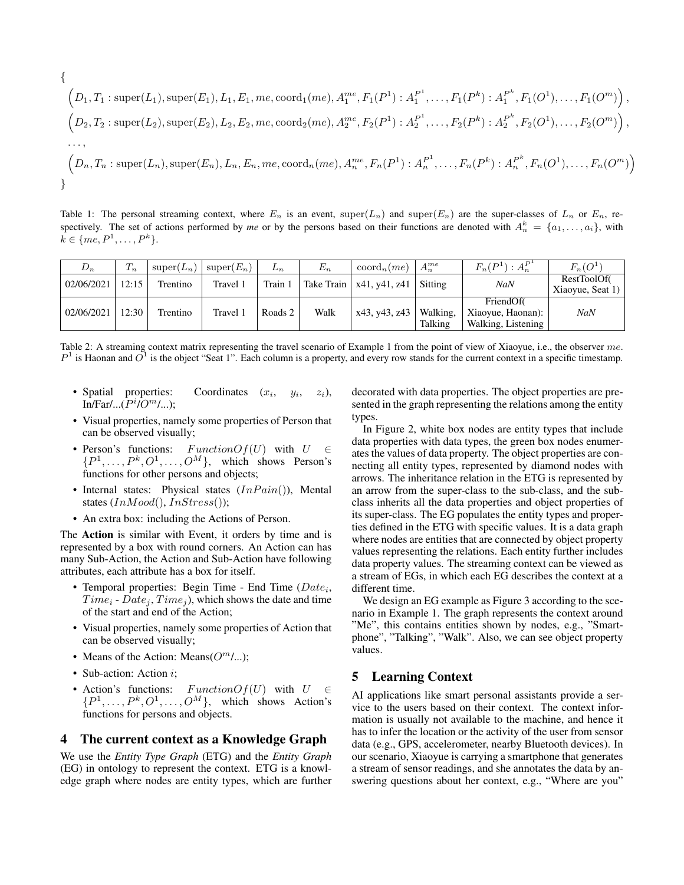<span id="page-3-2"></span>
$$
\{L_1, T_1: \text{super}(L_1), \text{super}(E_1), L_1, E_1, me, \text{coord}_1(me), A_1^{me}, F_1(P^1): A_1^{P^1}, \dots, F_1(P^k): A_1^{P^k}, F_1(O^1), \dots, F_1(O^m)),
$$
  

$$
(D_2, T_2: \text{super}(L_2), \text{super}(E_2), L_2, E_2, me, \text{coord}_2(me), A_2^{me}, F_2(P^1): A_2^{P^1}, \dots, F_2(P^k): A_2^{P^k}, F_2(O^1), \dots, F_2(O^m)),
$$
  

$$
\dots,
$$
  

$$
(D_n, T_n: \text{super}(L_n), \text{super}(E_n), L_n, E_n, me, \text{coord}_n(me), A_n^{me}, F_n(P^1): A_n^{P^1}, \dots, F_n(P^k): A_n^{P^k}, F_n(O^1), \dots, F_n(O^m))
$$
  

$$
\}
$$

Table 1: The personal streaming context, where  $E_n$  is an event, super( $L_n$ ) and super( $E_n$ ) are the super-classes of  $L_n$  or  $E_n$ , respectively. The set of actions performed by *me* or by the persons based on their functions are denoted with  $A_n^k = \{a_1, \ldots, a_i\}$ , with  $k \in \{me, P^1, \ldots, P^k\}.$ 

<span id="page-3-3"></span>

| $D_n$      | $T_n$ | $super(L_n)$ | $super(E_n)$ | $L_n$   | $E_n$ | $\mathrm{coord}_n$ $(me)$    | $A_n^{me}$          | $F_n(P^1): A_n^{P^1}$                                | $F_n(O^1)$                      |
|------------|-------|--------------|--------------|---------|-------|------------------------------|---------------------|------------------------------------------------------|---------------------------------|
| 02/06/2021 | 12:15 | Trentino     | Travel 1     | Train 1 |       | Take Train   $x41, y41, z41$ | Sitting             | <b>NaN</b>                                           | RestToolOf(<br>Xiaoyue, Seat 1) |
| 02/06/2021 | 12:30 | Trentino     | Travel 1     | Roads 2 | Walk  | x43, y43, z43                | Walking,<br>Talking | FriendOf(<br>Xiaoyue, Haonan):<br>Walking, Listening | NaN                             |

Table 2: A streaming context matrix representing the travel scenario of Example [1](#page-2-1) from the point of view of Xiaoyue, i.e., the observer me.  $P<sup>1</sup>$  is Haonan and  $O<sup>1</sup>$  is the object "Seat 1". Each column is a property, and every row stands for the current context in a specific timestamp.

- Spatial properties: Coordinates  $(x_i,$  $y_i$ ,  $z_i$ ),  $In/Far/...(P<sup>i</sup>/O<sup>m</sup>/...)$ ;
- Visual properties, namely some properties of Person that can be observed visually;
- Person's functions:  $FunctionOf(U)$  with  $U \in$  $\{P^1, \ldots, P^k, O^1, \ldots, O^M\}$ , which shows Person's functions for other persons and objects;
- Internal states: Physical states  $(InPair())$ , Mental states  $(InMod(),InStress())$ ;
- An extra box: including the Actions of Person.

The Action is similar with Event, it orders by time and is represented by a box with round corners. An Action can has many Sub-Action, the Action and Sub-Action have following attributes, each attribute has a box for itself.

- Temporal properties: Begin Time End Time  $(Date_i,$  $Time_i - Date_i, Time_i$ , which shows the date and time of the start and end of the Action;
- Visual properties, namely some properties of Action that can be observed visually;
- Means of the Action: Means $(O<sup>m</sup>/...);$
- Sub-action: Action *i*;
- Action's functions:  $FunctionOf(U)$  with  $U \in$  $\{P^1, \ldots, P^k, O^1, \ldots, O^M\}$ , which shows Action's functions for persons and objects.

#### <span id="page-3-0"></span>4 The current context as a Knowledge Graph

We use the *Entity Type Graph* (ETG) and the *Entity Graph* (EG) in ontology to represent the context. ETG is a knowledge graph where nodes are entity types, which are further decorated with data properties. The object properties are presented in the graph representing the relations among the entity types.

In Figure [2,](#page-5-0) white box nodes are entity types that include data properties with data types, the green box nodes enumerates the values of data property. The object properties are connecting all entity types, represented by diamond nodes with arrows. The inheritance relation in the ETG is represented by an arrow from the super-class to the sub-class, and the subclass inherits all the data properties and object properties of its super-class. The EG populates the entity types and properties defined in the ETG with specific values. It is a data graph where nodes are entities that are connected by object property values representing the relations. Each entity further includes data property values. The streaming context can be viewed as a stream of EGs, in which each EG describes the context at a different time.

We design an EG example as Figure [3](#page-6-1) according to the scenario in Example [1.](#page-2-1) The graph represents the context around "Me", this contains entities shown by nodes, e.g., "Smartphone", "Talking", "Walk". Also, we can see object property values.

### <span id="page-3-1"></span>5 Learning Context

AI applications like smart personal assistants provide a service to the users based on their context. The context information is usually not available to the machine, and hence it has to infer the location or the activity of the user from sensor data (e.g., GPS, accelerometer, nearby Bluetooth devices). In our scenario, Xiaoyue is carrying a smartphone that generates a stream of sensor readings, and she annotates the data by answering questions about her context, e.g., "Where are you"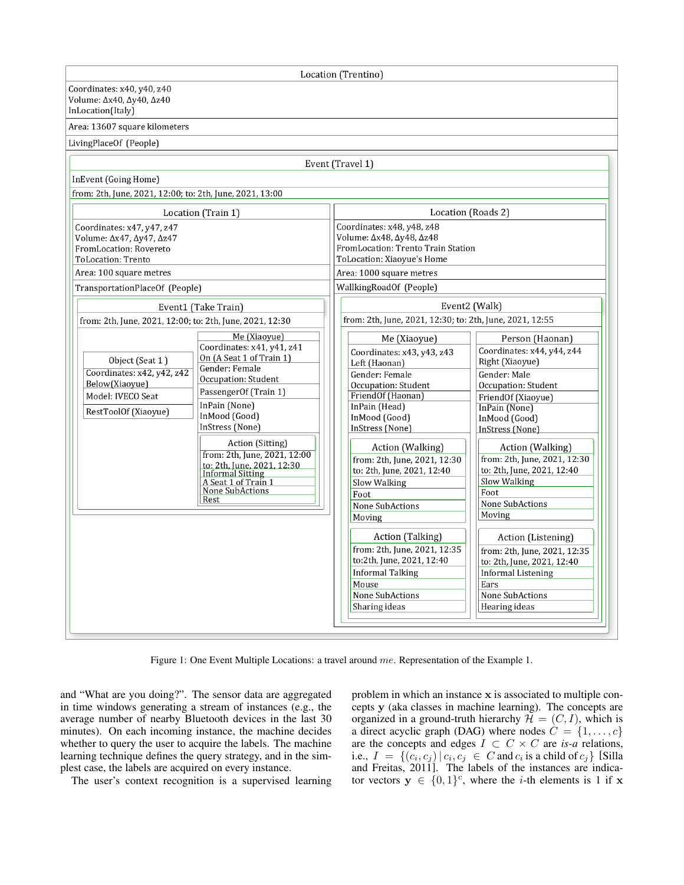<span id="page-4-0"></span>Location (Trentino) Coordinates: x40, y40, z40 Volume: Δx40, Δy40, Δz40 InLocation(Italy) Area: 13607 square kilometers LivingPlaceOf (People) Event (Travel 1) InEvent (Going Home) from: 2th, June, 2021, 12:00; to: 2th, June, 2021, 13:00 Location (Roads 2) Location (Train 1) Coordinates: x48, y48, z48 Coordinates: x47, y47, z47 Volume: Δx48, Δy48, Δz48 Volume: Δx47, Δy47, Δz47 FromLocation: Trento Train Station FromLocation: Rovereto ToLocation: Trento ToLocation: Xiaoyue's Home Area: 100 square metres Area: 1000 square metres WallkingRoadOf (People) TransportationPlaceOf (People) Event2 (Walk) Event1 (Take Train) from: 2th, June, 2021, 12:30; to: 2th, June, 2021, 12:55 from: 2th, June, 2021, 12:00; to: 2th, June, 2021, 12:30 Me (Xiaoyue) Me (Xiaoyue) Person (Haonan) Coordinates: x41, y41, z41 Coordinates: x44, y44, z44 Coordinates: x43, y43, z43 On (A Seat 1 of Train 1) Object (Seat 1) Right (Xiaoyue) Left (Haonan) Gender: Female Coordinates: x42, y42, z42 Gender: Male Gender: Female Occupation: Student Below(Xiaoyue) Occupation: Student Occupation: Student PassengerOf (Train 1) Model: IVECO Seat FriendOf (Haonan) FriendOf (Xiaoyue) InPain (None) InPain (Head) InPain (None) RestToolOf (Xiaoyue) InMood (Good) InMood (Good) InMood (Good) InStress (None) InStress (None) InStress (None) Action (Sitting) Action (Walking) Action (Walking) from: 2th, June, 2021, 12:00 from: 2th, June, 2021, 12:30 from: 2th, June, 2021, 12:30 to: 2th, June, 2021, 12:30 to: 2th, June, 2021, 12:40 to: 2th, June, 2021, 12:40 Informal Sitting<br>A Seat 1 of Train 1<br>None SubActions Slow Walking Slow Walking Foot Foot Rest None SubActions None SubActions Moving Moving Action (Talking) Action (Listening) from: 2th, June, 2021, 12:35 from: 2th, June, 2021, 12:35 to:2th, June, 2021, 12:40 to: 2th, June, 2021, 12:40 **Informal Talking Informal Listening** Mouse Ears None SubActions **None SubActions** Sharing ideas Hearing ideas

Figure 1: One Event Multiple Locations: a travel around me. Representation of the Example [1.](#page-2-1)

and "What are you doing?". The sensor data are aggregated in time windows generating a stream of instances (e.g., the average number of nearby Bluetooth devices in the last 30 minutes). On each incoming instance, the machine decides whether to query the user to acquire the labels. The machine learning technique defines the query strategy, and in the simplest case, the labels are acquired on every instance.

The user's context recognition is a supervised learning

problem in which an instance x is associated to multiple concepts y (aka classes in machine learning). The concepts are organized in a ground-truth hierarchy  $\mathcal{H} = (C, I)$ , which is a direct acyclic graph (DAG) where nodes  $C = \{1, \ldots, c\}$ are the concepts and edges  $I \subset C \times C$  are *is-a* relations, i.e.,  $I = \{(c_i, c_j) | c_i, c_j \in C \text{ and } c_i \text{ is a child of } c_j \}$  [\[Silla](#page-8-14) [and Freitas, 2011\]](#page-8-14). The labels of the instances are indicator vectors  $y \in \{0,1\}^c$ , where the *i*-th elements is 1 if x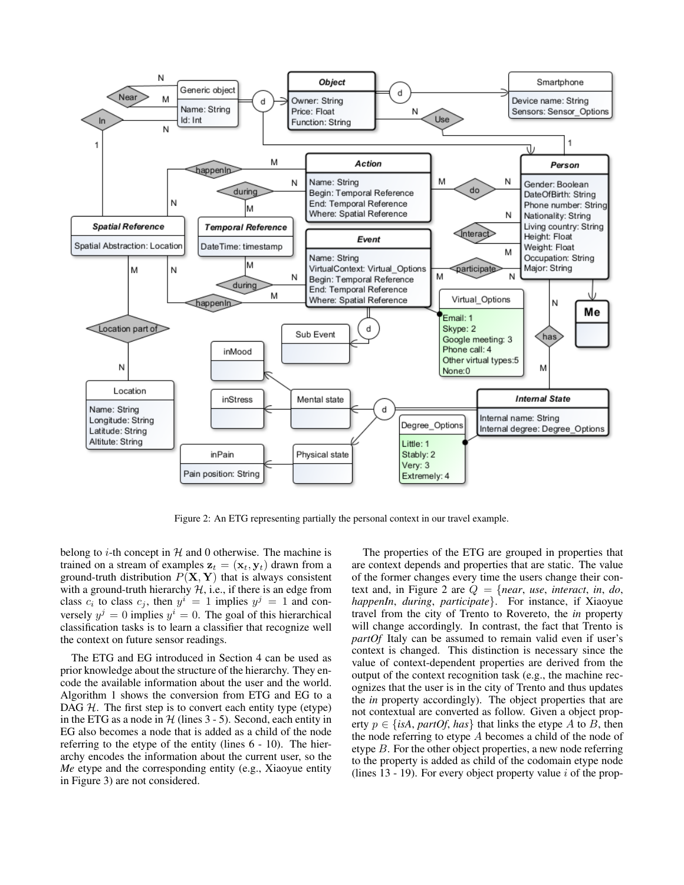<span id="page-5-0"></span>

Figure 2: An ETG representing partially the personal context in our travel example.

belong to *i*-th concept in  $H$  and 0 otherwise. The machine is trained on a stream of examples  $z_t = (\mathbf{x}_t, \mathbf{y}_t)$  drawn from a ground-truth distribution  $P(X, Y)$  that is always consistent with a ground-truth hierarchy  $H$ , i.e., if there is an edge from class  $c_i$  to class  $c_j$ , then  $y^i = 1$  implies  $y^j = 1$  and conversely  $y^j = 0$  implies  $y^i = 0$ . The goal of this hierarchical classification tasks is to learn a classifier that recognize well the context on future sensor readings.

The ETG and EG introduced in Section [4](#page-3-0) can be used as prior knowledge about the structure of the hierarchy. They encode the available information about the user and the world. Algorithm [1](#page-7-2) shows the conversion from ETG and EG to a DAG  $H$ . The first step is to convert each entity type (etype) in the ETG as a node in  $H$  (lines [3](#page-7-2) - [5\)](#page-7-2). Second, each entity in EG also becomes a node that is added as a child of the node referring to the etype of the entity (lines [6](#page-7-2) - [10\)](#page-7-2). The hierarchy encodes the information about the current user, so the *Me* etype and the corresponding entity (e.g., Xiaoyue entity in Figure [3\)](#page-6-1) are not considered.

The properties of the ETG are grouped in properties that are context depends and properties that are static. The value of the former changes every time the users change their context and, in Figure [2](#page-5-0) are Q = {*near*, *use*, *interact*, *in*, *do*, *happenIn*, *during*, *participate*}. For instance, if Xiaoyue travel from the city of Trento to Rovereto, the *in* property will change accordingly. In contrast, the fact that Trento is *partOf* Italy can be assumed to remain valid even if user's context is changed. This distinction is necessary since the value of context-dependent properties are derived from the output of the context recognition task (e.g., the machine recognizes that the user is in the city of Trento and thus updates the *in* property accordingly). The object properties that are not contextual are converted as follow. Given a object property  $p \in \{isA, partOf, has\}$  that links the etype A to B, then the node referring to etype  $A$  becomes a child of the node of etype B. For the other object properties, a new node referring to the property is added as child of the codomain etype node (lines  $13 - 19$ ). For every object property value i of the prop-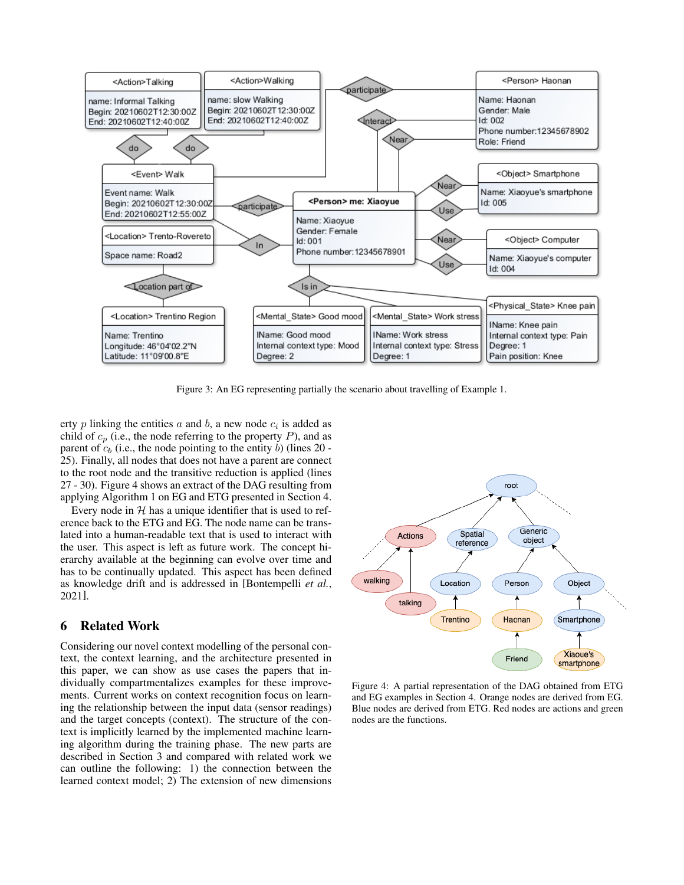<span id="page-6-1"></span>

Figure 3: An EG representing partially the scenario about travelling of Example [1.](#page-2-1)

erty  $p$  linking the entities  $a$  and  $b$ , a new node  $c_i$  is added as child of  $c_p$  (i.e., the node referring to the property P), and as parent of  $c_b$  (i.e., the node pointing to the entity b) (lines [20](#page-7-2) -[25\)](#page-7-2). Finally, all nodes that does not have a parent are connect to the root node and the transitive reduction is applied (lines [27](#page-7-2) - [30\)](#page-7-2). Figure [4](#page-6-2) shows an extract of the DAG resulting from applying Algorithm [1](#page-7-2) on EG and ETG presented in Section [4.](#page-3-0)

Every node in  $H$  has a unique identifier that is used to reference back to the ETG and EG. The node name can be translated into a human-readable text that is used to interact with the user. This aspect is left as future work. The concept hierarchy available at the beginning can evolve over time and has to be continually updated. This aspect has been defined as knowledge drift and is addressed in [\[Bontempelli](#page-8-15) *et al.*, [2021\]](#page-8-15).

# <span id="page-6-0"></span>6 Related Work

Considering our novel context modelling of the personal context, the context learning, and the architecture presented in this paper, we can show as use cases the papers that individually compartmentalizes examples for these improvements. Current works on context recognition focus on learning the relationship between the input data (sensor readings) and the target concepts (context). The structure of the context is implicitly learned by the implemented machine learning algorithm during the training phase. The new parts are described in Section [3](#page-2-0) and compared with related work we can outline the following: 1) the connection between the learned context model; 2) The extension of new dimensions

<span id="page-6-2"></span>

Figure 4: A partial representation of the DAG obtained from ETG and EG examples in Section [4.](#page-3-0) Orange nodes are derived from EG. Blue nodes are derived from ETG. Red nodes are actions and green nodes are the functions.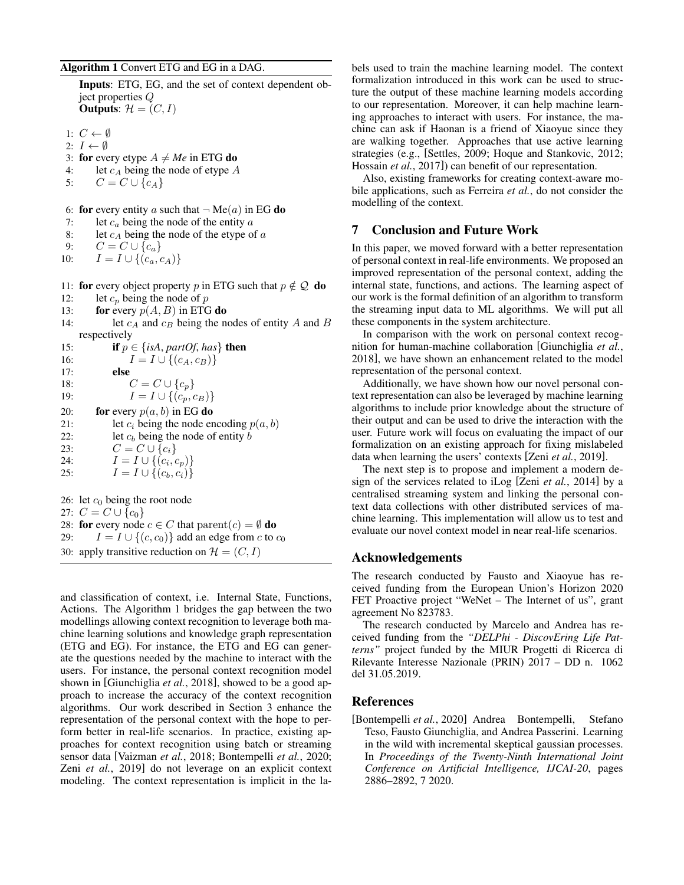#### <span id="page-7-2"></span>Algorithm 1 Convert ETG and EG in a DAG.

Inputs: ETG, EG, and the set of context dependent object properties Q Outputs:  $\mathcal{H} = (C, I)$ 

1:  $C \leftarrow \emptyset$ 

- 2:  $I \leftarrow \emptyset$
- 3: for every etype  $A \neq Me$  in ETG do
- 4: let  $c_A$  being the node of etype A<br>5:  $C = C \cup \{c_A\}$
- $C = C \cup \{c_A\}$

6: for every entity a such that  $\neg$  Me(a) in EG do

- 7: let  $c_a$  being the node of the entity  $a$
- 8: let  $c_A$  being the node of the etype of a<br>9:  $C = C \cup \{c_n\}$
- $C = C \cup \{c_a\}$
- 10:  $I = I \cup \{(c_a, c_A)\}\$
- 11: for every object property p in ETG such that  $p \notin Q$  do
- 12: let  $c_p$  being the node of p
- 13: **for** every  $p(A, B)$  in ETG do
- 14: let  $c_A$  and  $c_B$  being the nodes of entity A and B respectively

| 15: | <b>if</b> $p \in \{isA, partOf, has\}$ then |
|-----|---------------------------------------------|
| 16: | $I = I \cup \{(c_A, c_B)\}\$                |
| 17: | else                                        |
| 18: | $C = C \cup \{c_p\}$                        |
| 19: | $I = I \cup \{(c_p, c_B)\}\$                |
| 20: | for every $p(a, b)$ in EG do                |
| 21: | let $c_i$ being the node encoding $p(a, b)$ |
| 22: | let $c_b$ being the node of entity $b$      |
| 23: | $C = C \cup \{c_i\}$                        |
| 24: | $I = I \cup \{(c_i, c_p)\}\$                |
| 25: | $I = I \cup \{(c_b, c_i)\}\$                |
|     |                                             |
|     | 26: let $c_0$ being the root node           |
|     | 27.00016                                    |

27:  $C = C \cup \{c_0\}$ 28: for every node  $c \in C$  that  $\text{parent}(c) = \emptyset$  do 29:  $I = I \cup \{(c, c_0)\}\$ add an edge from c to  $c_0$ 30: apply transitive reduction on  $\mathcal{H} = (C, I)$ 

and classification of context, i.e. Internal State, Functions, Actions. The Algorithm [1](#page-7-2) bridges the gap between the two modellings allowing context recognition to leverage both machine learning solutions and knowledge graph representation (ETG and EG). For instance, the ETG and EG can generate the questions needed by the machine to interact with the users. For instance, the personal context recognition model shown in [\[Giunchiglia](#page-8-10) *et al.*, 2018], showed to be a good approach to increase the accuracy of the context recognition algorithms. Our work described in Section [3](#page-2-0) enhance the representation of the personal context with the hope to perform better in real-life scenarios. In practice, existing approaches for context recognition using batch or streaming sensor data [\[Vaizman](#page-8-16) *et al.*, 2018; [Bontempelli](#page-7-0) *et al.*, 2020; Zeni *et al.*[, 2019\]](#page-8-11) do not leverage on an explicit context modeling. The context representation is implicit in the labels used to train the machine learning model. The context formalization introduced in this work can be used to structure the output of these machine learning models according to our representation. Moreover, it can help machine learning approaches to interact with users. For instance, the machine can ask if Haonan is a friend of Xiaoyue since they are walking together. Approaches that use active learning strategies (e.g., [\[Settles, 2009;](#page-8-2) [Hoque and Stankovic, 2012;](#page-8-3) [Hossain](#page-8-4) *et al.*, 2017]) can benefit of our representation.

Also, existing frameworks for creating context-aware mobile applications, such as [Ferreira](#page-8-17) *et al.*, do not consider the modelling of the context.

# <span id="page-7-1"></span>7 Conclusion and Future Work

In this paper, we moved forward with a better representation of personal context in real-life environments. We proposed an improved representation of the personal context, adding the internal state, functions, and actions. The learning aspect of our work is the formal definition of an algorithm to transform the streaming input data to ML algorithms. We will put all these components in the system architecture.

In comparison with the work on personal context recognition for human-machine collaboration [\[Giunchiglia](#page-8-10) *et al.*, [2018\]](#page-8-10), we have shown an enhancement related to the model representation of the personal context.

Additionally, we have shown how our novel personal context representation can also be leveraged by machine learning algorithms to include prior knowledge about the structure of their output and can be used to drive the interaction with the user. Future work will focus on evaluating the impact of our formalization on an existing approach for fixing mislabeled data when learning the users' contexts [Zeni *et al.*[, 2019\]](#page-8-11).

The next step is to propose and implement a modern design of the services related to iLog [Zeni *et al.*[, 2014\]](#page-8-18) by a centralised streaming system and linking the personal context data collections with other distributed services of machine learning. This implementation will allow us to test and evaluate our novel context model in near real-life scenarios.

#### Acknowledgements

The research conducted by Fausto and Xiaoyue has received funding from the European Union's Horizon 2020 FET Proactive project "WeNet – The Internet of us", grant agreement No 823783.

The research conducted by Marcelo and Andrea has received funding from the *"DELPhi - DiscovEring Life Patterns"* project funded by the MIUR Progetti di Ricerca di Rilevante Interesse Nazionale (PRIN) 2017 – DD n. 1062 del 31.05.2019.

#### References

<span id="page-7-0"></span>[Bontempelli *et al.*, 2020] Andrea Bontempelli, Stefano Teso, Fausto Giunchiglia, and Andrea Passerini. Learning in the wild with incremental skeptical gaussian processes. In *Proceedings of the Twenty-Ninth International Joint Conference on Artificial Intelligence, IJCAI-20*, pages 2886–2892, 7 2020.